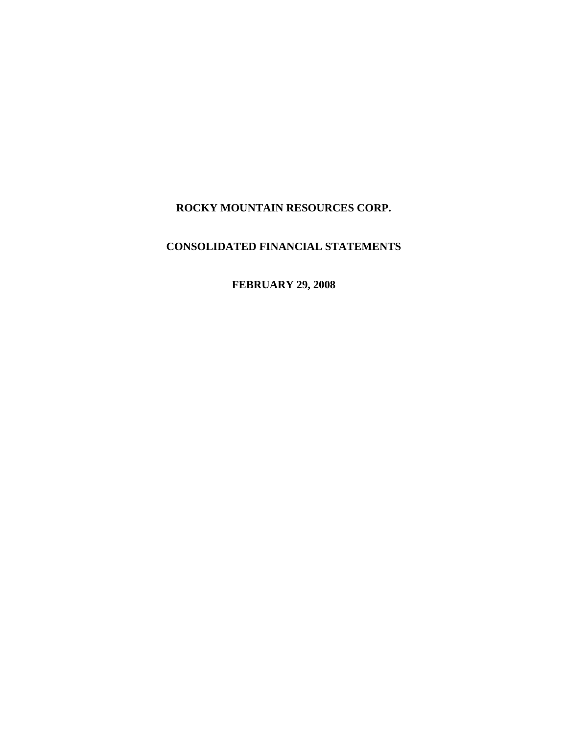# **ROCKY MOUNTAIN RESOURCES CORP.**

# **CONSOLIDATED FINANCIAL STATEMENTS**

**FEBRUARY 29, 2008**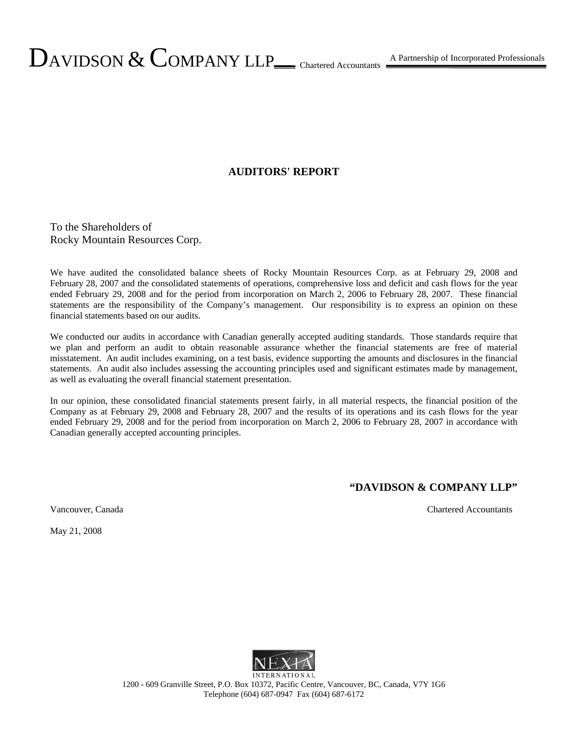## **AUDITORS' REPORT**

To the Shareholders of Rocky Mountain Resources Corp.

We have audited the consolidated balance sheets of Rocky Mountain Resources Corp. as at February 29, 2008 and February 28, 2007 and the consolidated statements of operations, comprehensive loss and deficit and cash flows for the year ended February 29, 2008 and for the period from incorporation on March 2, 2006 to February 28, 2007. These financial statements are the responsibility of the Company's management. Our responsibility is to express an opinion on these financial statements based on our audits.

We conducted our audits in accordance with Canadian generally accepted auditing standards. Those standards require that we plan and perform an audit to obtain reasonable assurance whether the financial statements are free of material misstatement. An audit includes examining, on a test basis, evidence supporting the amounts and disclosures in the financial statements. An audit also includes assessing the accounting principles used and significant estimates made by management, as well as evaluating the overall financial statement presentation.

In our opinion, these consolidated financial statements present fairly, in all material respects, the financial position of the Company as at February 29, 2008 and February 28, 2007 and the results of its operations and its cash flows for the year ended February 29, 2008 and for the period from incorporation on March 2, 2006 to February 28, 2007 in accordance with Canadian generally accepted accounting principles.

## **"DAVIDSON & COMPANY LLP"**

Vancouver, Canada Chartered Accountants

May 21, 2008



1200 - 609 Granville Street, P.O. Box 10372, Pacific Centre, Vancouver, BC, Canada, V7Y 1G6 Telephone (604) 687-0947 Fax (604) 687-6172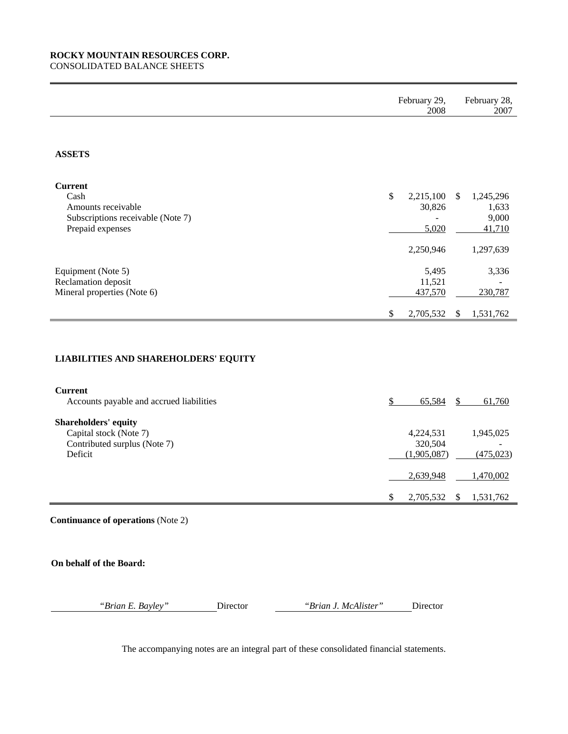## **ROCKY MOUNTAIN RESOURCES CORP.**  CONSOLIDATED BALANCE SHEETS

|                                                                                                       |                           | February 29,<br>2008                             |               | February 28,<br>2007                               |
|-------------------------------------------------------------------------------------------------------|---------------------------|--------------------------------------------------|---------------|----------------------------------------------------|
|                                                                                                       |                           |                                                  |               |                                                    |
| <b>ASSETS</b>                                                                                         |                           |                                                  |               |                                                    |
| <b>Current</b><br>Cash<br>Amounts receivable<br>Subscriptions receivable (Note 7)<br>Prepaid expenses | $\boldsymbol{\mathsf{S}}$ | 2,215,100<br>30,826<br>5,020<br>2,250,946        | $\mathbb{S}$  | 1,245,296<br>1,633<br>9,000<br>41,710<br>1,297,639 |
| Equipment (Note 5)<br>Reclamation deposit<br>Mineral properties (Note 6)                              |                           | 5,495<br>11,521<br>437,570                       |               | 3,336<br>230,787                                   |
|                                                                                                       | \$                        | 2,705,532                                        | $\mathcal{S}$ | 1,531,762                                          |
| <b>LIABILITIES AND SHAREHOLDERS' EQUITY</b>                                                           |                           |                                                  |               |                                                    |
| <b>Current</b><br>Accounts payable and accrued liabilities                                            | \$                        | 65,584                                           | \$            | 61,760                                             |
| <b>Shareholders' equity</b><br>Capital stock (Note 7)<br>Contributed surplus (Note 7)<br>Deficit      |                           | 4,224,531<br>320,504<br>(1,905,087)<br>2,639,948 |               | 1,945,025<br>(475, 023)<br>1,470,002               |
|                                                                                                       | \$                        | 2,705,532                                        | \$            | 1,531,762                                          |

**Continuance of operations** (Note 2)

**On behalf of the Board:** 

*"Brian E. Bayley"* Director *"Brian J. McAlister"* Director

The accompanying notes are an integral part of these consolidated financial statements.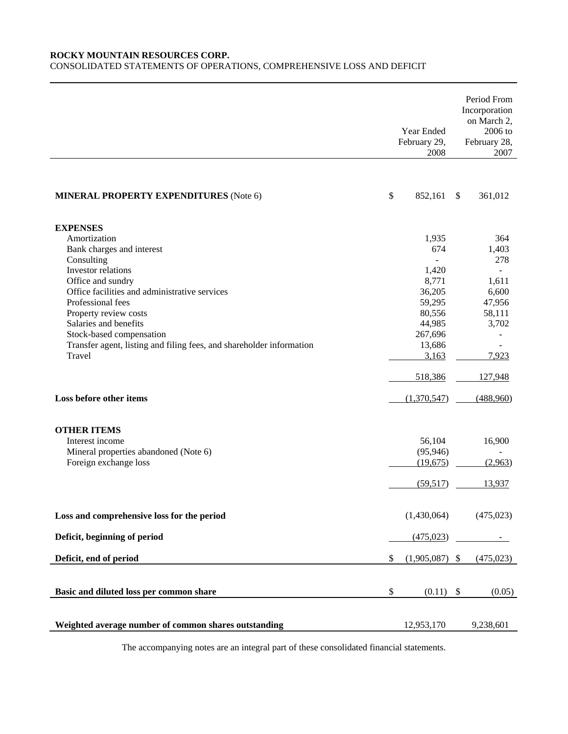## **ROCKY MOUNTAIN RESOURCES CORP.**

## CONSOLIDATED STATEMENTS OF OPERATIONS, COMPREHENSIVE LOSS AND DEFICIT

|                                                                      | Year Ended<br>February 29,<br>2008 |               | Period From<br>Incorporation<br>on March 2,<br>2006 to<br>February 28,<br>2007 |
|----------------------------------------------------------------------|------------------------------------|---------------|--------------------------------------------------------------------------------|
|                                                                      |                                    |               |                                                                                |
| <b>MINERAL PROPERTY EXPENDITURES</b> (Note 6)                        | \$<br>852,161                      | <sup>\$</sup> | 361,012                                                                        |
| <b>EXPENSES</b>                                                      |                                    |               |                                                                                |
| Amortization                                                         | 1,935                              |               | 364                                                                            |
| Bank charges and interest                                            | 674                                |               | 1,403                                                                          |
| Consulting                                                           |                                    |               | 278                                                                            |
| Investor relations                                                   | 1,420                              |               | $\overline{a}$                                                                 |
| Office and sundry<br>Office facilities and administrative services   | 8,771<br>36,205                    |               | 1,611                                                                          |
| Professional fees                                                    | 59,295                             |               | 6,600<br>47,956                                                                |
| Property review costs                                                | 80,556                             |               | 58,111                                                                         |
| Salaries and benefits                                                | 44,985                             |               | 3,702                                                                          |
| Stock-based compensation                                             | 267,696                            |               |                                                                                |
| Transfer agent, listing and filing fees, and shareholder information | 13,686                             |               |                                                                                |
| Travel                                                               | 3,163                              |               | 7,923                                                                          |
|                                                                      | 518,386                            |               | 127,948                                                                        |
| Loss before other items                                              | (1,370,547)                        |               | (488,960)                                                                      |
| <b>OTHER ITEMS</b>                                                   |                                    |               |                                                                                |
| Interest income                                                      | 56,104                             |               | 16,900                                                                         |
| Mineral properties abandoned (Note 6)                                | (95, 946)                          |               |                                                                                |
| Foreign exchange loss                                                | (19,675)                           |               | (2,963)                                                                        |
|                                                                      | (59, 517)                          |               | 13,937                                                                         |
| Loss and comprehensive loss for the period                           | (1,430,064)                        |               | (475, 023)                                                                     |
|                                                                      |                                    |               |                                                                                |
| Deficit, beginning of period                                         | (475, 023)                         |               |                                                                                |
| Deficit, end of period                                               | \$<br>$(1,905,087)$ \$             |               | (475, 023)                                                                     |
|                                                                      |                                    |               |                                                                                |
| Basic and diluted loss per common share                              | \$<br>$(0.11)$ \$                  |               | (0.05)                                                                         |
|                                                                      |                                    |               |                                                                                |
| Weighted average number of common shares outstanding                 | 12,953,170                         |               | 9,238,601                                                                      |

The accompanying notes are an integral part of these consolidated financial statements.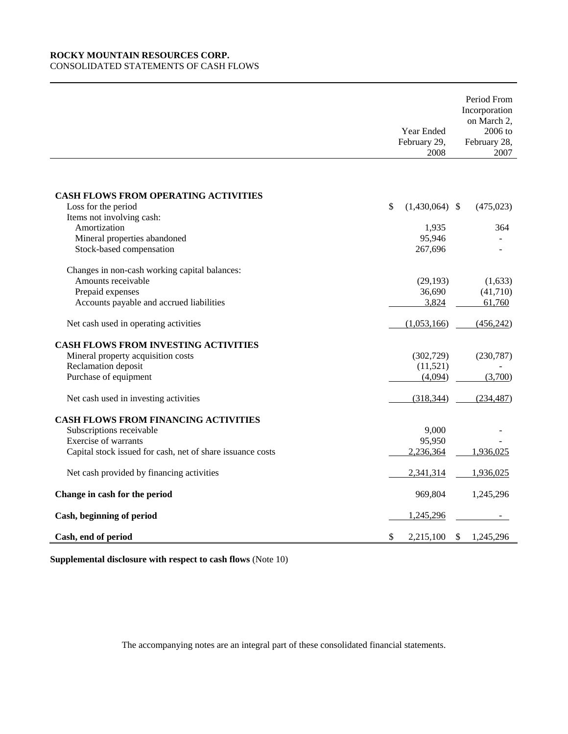## **ROCKY MOUNTAIN RESOURCES CORP.**  CONSOLIDATED STATEMENTS OF CASH FLOWS

|                                                                     | Year Ended<br>February 29,<br>2008 | Period From<br>Incorporation<br>on March 2,<br>2006 to<br>February 28,<br>2007 |
|---------------------------------------------------------------------|------------------------------------|--------------------------------------------------------------------------------|
|                                                                     |                                    |                                                                                |
| <b>CASH FLOWS FROM OPERATING ACTIVITIES</b>                         |                                    |                                                                                |
| Loss for the period                                                 | \$<br>$(1,430,064)$ \$             | (475, 023)                                                                     |
| Items not involving cash:                                           |                                    |                                                                                |
| Amortization                                                        | 1,935                              | 364                                                                            |
| Mineral properties abandoned                                        | 95,946                             |                                                                                |
| Stock-based compensation                                            | 267,696                            |                                                                                |
|                                                                     |                                    |                                                                                |
| Changes in non-cash working capital balances:<br>Amounts receivable |                                    |                                                                                |
| Prepaid expenses                                                    | (29, 193)<br>36,690                | (1,633)<br>(41,710)                                                            |
| Accounts payable and accrued liabilities                            | 3,824                              | 61,760                                                                         |
|                                                                     |                                    |                                                                                |
| Net cash used in operating activities                               | (1,053,166)                        | (456, 242)                                                                     |
| <b>CASH FLOWS FROM INVESTING ACTIVITIES</b>                         |                                    |                                                                                |
| Mineral property acquisition costs                                  | (302, 729)                         | (230, 787)                                                                     |
| Reclamation deposit                                                 | (11,521)                           |                                                                                |
| Purchase of equipment                                               | (4,094)                            | (3,700)                                                                        |
|                                                                     |                                    |                                                                                |
| Net cash used in investing activities                               | (318, 344)                         | (234, 487)                                                                     |
| <b>CASH FLOWS FROM FINANCING ACTIVITIES</b>                         |                                    |                                                                                |
| Subscriptions receivable                                            | 9,000                              |                                                                                |
| Exercise of warrants                                                | 95,950                             |                                                                                |
| Capital stock issued for cash, net of share issuance costs          | 2,236,364                          | 1,936,025                                                                      |
| Net cash provided by financing activities                           | 2,341,314                          | 1,936,025                                                                      |
| Change in cash for the period                                       | 969,804                            | 1,245,296                                                                      |
| Cash, beginning of period                                           | 1,245,296                          |                                                                                |
| Cash, end of period                                                 | 2,215,100<br>\$                    | S.<br>1,245,296                                                                |

**Supplemental disclosure with respect to cash flows** (Note 10)

The accompanying notes are an integral part of these consolidated financial statements.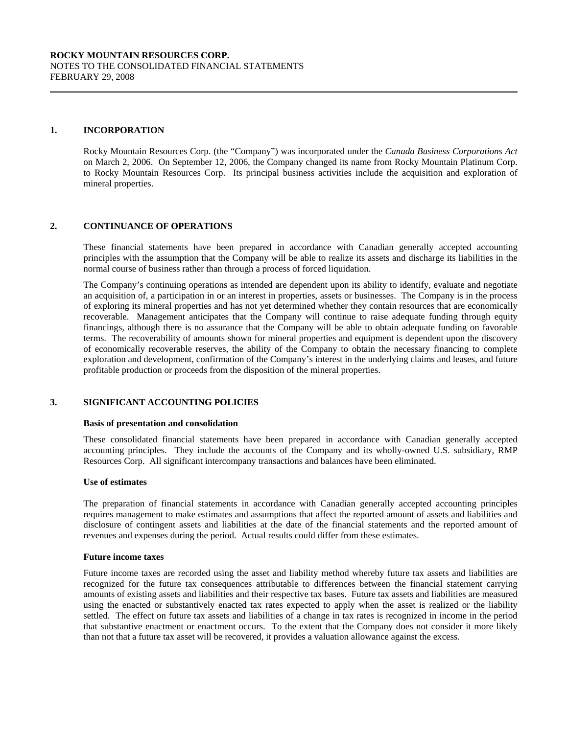#### **1. INCORPORATION**

 $\overline{a}$ 

 Rocky Mountain Resources Corp. (the "Company") was incorporated under the *Canada Business Corporations Act* on March 2, 2006. On September 12, 2006, the Company changed its name from Rocky Mountain Platinum Corp. to Rocky Mountain Resources Corp. Its principal business activities include the acquisition and exploration of mineral properties.

### **2. CONTINUANCE OF OPERATIONS**

 These financial statements have been prepared in accordance with Canadian generally accepted accounting principles with the assumption that the Company will be able to realize its assets and discharge its liabilities in the normal course of business rather than through a process of forced liquidation.

The Company's continuing operations as intended are dependent upon its ability to identify, evaluate and negotiate an acquisition of, a participation in or an interest in properties, assets or businesses. The Company is in the process of exploring its mineral properties and has not yet determined whether they contain resources that are economically recoverable. Management anticipates that the Company will continue to raise adequate funding through equity financings, although there is no assurance that the Company will be able to obtain adequate funding on favorable terms. The recoverability of amounts shown for mineral properties and equipment is dependent upon the discovery of economically recoverable reserves, the ability of the Company to obtain the necessary financing to complete exploration and development, confirmation of the Company's interest in the underlying claims and leases, and future profitable production or proceeds from the disposition of the mineral properties.

## **3. SIGNIFICANT ACCOUNTING POLICIES**

#### **Basis of presentation and consolidation**

These consolidated financial statements have been prepared in accordance with Canadian generally accepted accounting principles. They include the accounts of the Company and its wholly-owned U.S. subsidiary, RMP Resources Corp. All significant intercompany transactions and balances have been eliminated.

#### **Use of estimates**

 The preparation of financial statements in accordance with Canadian generally accepted accounting principles requires management to make estimates and assumptions that affect the reported amount of assets and liabilities and disclosure of contingent assets and liabilities at the date of the financial statements and the reported amount of revenues and expenses during the period. Actual results could differ from these estimates.

#### **Future income taxes**

Future income taxes are recorded using the asset and liability method whereby future tax assets and liabilities are recognized for the future tax consequences attributable to differences between the financial statement carrying amounts of existing assets and liabilities and their respective tax bases. Future tax assets and liabilities are measured using the enacted or substantively enacted tax rates expected to apply when the asset is realized or the liability settled. The effect on future tax assets and liabilities of a change in tax rates is recognized in income in the period that substantive enactment or enactment occurs. To the extent that the Company does not consider it more likely than not that a future tax asset will be recovered, it provides a valuation allowance against the excess.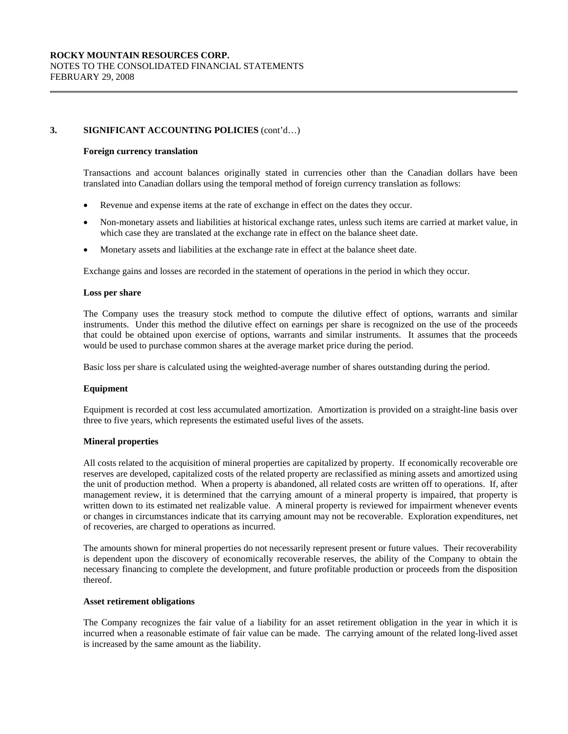## **3. SIGNIFICANT ACCOUNTING POLICIES** (cont'd…)

#### **Foreign currency translation**

Transactions and account balances originally stated in currencies other than the Canadian dollars have been translated into Canadian dollars using the temporal method of foreign currency translation as follows:

- Revenue and expense items at the rate of exchange in effect on the dates they occur.
- Non-monetary assets and liabilities at historical exchange rates, unless such items are carried at market value, in which case they are translated at the exchange rate in effect on the balance sheet date.
- Monetary assets and liabilities at the exchange rate in effect at the balance sheet date.

Exchange gains and losses are recorded in the statement of operations in the period in which they occur.

#### **Loss per share**

 $\overline{a}$ 

 The Company uses the treasury stock method to compute the dilutive effect of options, warrants and similar instruments. Under this method the dilutive effect on earnings per share is recognized on the use of the proceeds that could be obtained upon exercise of options, warrants and similar instruments. It assumes that the proceeds would be used to purchase common shares at the average market price during the period.

Basic loss per share is calculated using the weighted-average number of shares outstanding during the period.

## **Equipment**

Equipment is recorded at cost less accumulated amortization. Amortization is provided on a straight-line basis over three to five years, which represents the estimated useful lives of the assets.

#### **Mineral properties**

 All costs related to the acquisition of mineral properties are capitalized by property. If economically recoverable ore reserves are developed, capitalized costs of the related property are reclassified as mining assets and amortized using the unit of production method. When a property is abandoned, all related costs are written off to operations. If, after management review, it is determined that the carrying amount of a mineral property is impaired, that property is written down to its estimated net realizable value. A mineral property is reviewed for impairment whenever events or changes in circumstances indicate that its carrying amount may not be recoverable. Exploration expenditures, net of recoveries, are charged to operations as incurred.

The amounts shown for mineral properties do not necessarily represent present or future values. Their recoverability is dependent upon the discovery of economically recoverable reserves, the ability of the Company to obtain the necessary financing to complete the development, and future profitable production or proceeds from the disposition thereof.

#### **Asset retirement obligations**

The Company recognizes the fair value of a liability for an asset retirement obligation in the year in which it is incurred when a reasonable estimate of fair value can be made. The carrying amount of the related long-lived asset is increased by the same amount as the liability.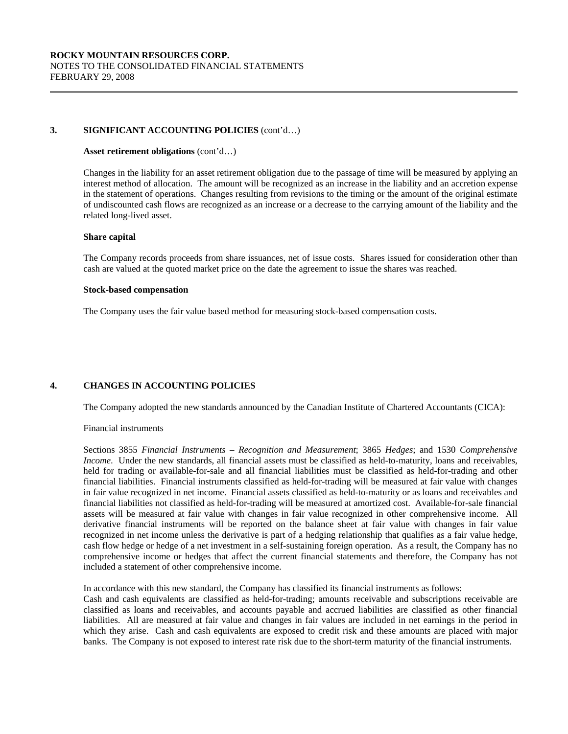## **3. SIGNIFICANT ACCOUNTING POLICIES** (cont'd…)

#### **Asset retirement obligations** (cont'd…)

 Changes in the liability for an asset retirement obligation due to the passage of time will be measured by applying an interest method of allocation. The amount will be recognized as an increase in the liability and an accretion expense in the statement of operations. Changes resulting from revisions to the timing or the amount of the original estimate of undiscounted cash flows are recognized as an increase or a decrease to the carrying amount of the liability and the related long-lived asset.

#### **Share capital**

 $\overline{a}$ 

The Company records proceeds from share issuances, net of issue costs. Shares issued for consideration other than cash are valued at the quoted market price on the date the agreement to issue the shares was reached.

#### **Stock-based compensation**

The Company uses the fair value based method for measuring stock-based compensation costs.

#### **4. CHANGES IN ACCOUNTING POLICIES**

The Company adopted the new standards announced by the Canadian Institute of Chartered Accountants (CICA):

#### Financial instruments

Sections 3855 *Financial Instruments – Recognition and Measurement*; 3865 *Hedges*; and 1530 *Comprehensive Income*. Under the new standards, all financial assets must be classified as held-to-maturity, loans and receivables, held for trading or available-for-sale and all financial liabilities must be classified as held-for-trading and other financial liabilities. Financial instruments classified as held-for-trading will be measured at fair value with changes in fair value recognized in net income. Financial assets classified as held-to-maturity or as loans and receivables and financial liabilities not classified as held-for-trading will be measured at amortized cost. Available-for-sale financial assets will be measured at fair value with changes in fair value recognized in other comprehensive income. All derivative financial instruments will be reported on the balance sheet at fair value with changes in fair value recognized in net income unless the derivative is part of a hedging relationship that qualifies as a fair value hedge, cash flow hedge or hedge of a net investment in a self-sustaining foreign operation. As a result, the Company has no comprehensive income or hedges that affect the current financial statements and therefore, the Company has not included a statement of other comprehensive income.

In accordance with this new standard, the Company has classified its financial instruments as follows:

Cash and cash equivalents are classified as held-for-trading; amounts receivable and subscriptions receivable are classified as loans and receivables, and accounts payable and accrued liabilities are classified as other financial liabilities. All are measured at fair value and changes in fair values are included in net earnings in the period in which they arise. Cash and cash equivalents are exposed to credit risk and these amounts are placed with major banks. The Company is not exposed to interest rate risk due to the short-term maturity of the financial instruments.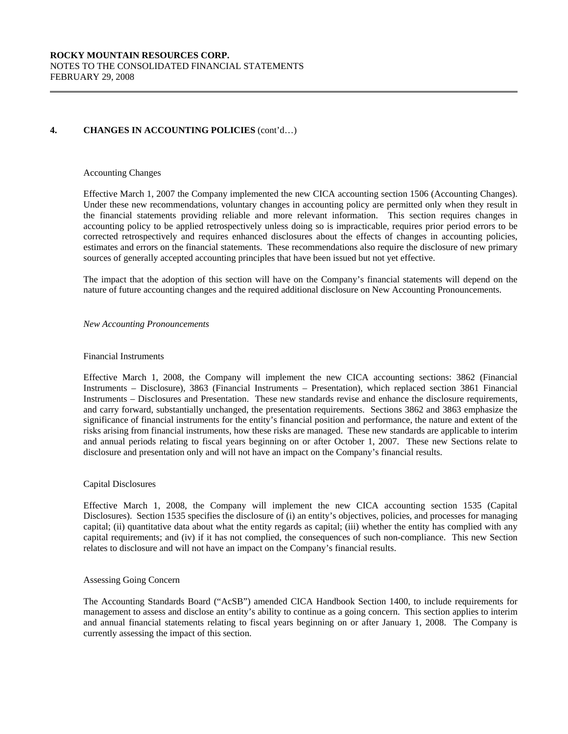## **ROCKY MOUNTAIN RESOURCES CORP.**  NOTES TO THE CONSOLIDATED FINANCIAL STATEMENTS FEBRUARY 29, 2008

## **4. CHANGES IN ACCOUNTING POLICIES** (cont'd…)

#### Accounting Changes

 $\overline{a}$ 

Effective March 1, 2007 the Company implemented the new CICA accounting section 1506 (Accounting Changes). Under these new recommendations, voluntary changes in accounting policy are permitted only when they result in the financial statements providing reliable and more relevant information. This section requires changes in accounting policy to be applied retrospectively unless doing so is impracticable, requires prior period errors to be corrected retrospectively and requires enhanced disclosures about the effects of changes in accounting policies, estimates and errors on the financial statements. These recommendations also require the disclosure of new primary sources of generally accepted accounting principles that have been issued but not yet effective.

The impact that the adoption of this section will have on the Company's financial statements will depend on the nature of future accounting changes and the required additional disclosure on New Accounting Pronouncements.

#### *New Accounting Pronouncements*

#### Financial Instruments

Effective March 1, 2008, the Company will implement the new CICA accounting sections: 3862 (Financial Instruments – Disclosure), 3863 (Financial Instruments – Presentation), which replaced section 3861 Financial Instruments – Disclosures and Presentation. These new standards revise and enhance the disclosure requirements, and carry forward, substantially unchanged, the presentation requirements. Sections 3862 and 3863 emphasize the significance of financial instruments for the entity's financial position and performance, the nature and extent of the risks arising from financial instruments, how these risks are managed. These new standards are applicable to interim and annual periods relating to fiscal years beginning on or after October 1, 2007. These new Sections relate to disclosure and presentation only and will not have an impact on the Company's financial results.

#### Capital Disclosures

Effective March 1, 2008, the Company will implement the new CICA accounting section 1535 (Capital Disclosures). Section 1535 specifies the disclosure of (i) an entity's objectives, policies, and processes for managing capital; (ii) quantitative data about what the entity regards as capital; (iii) whether the entity has complied with any capital requirements; and (iv) if it has not complied, the consequences of such non-compliance. This new Section relates to disclosure and will not have an impact on the Company's financial results.

#### Assessing Going Concern

The Accounting Standards Board ("AcSB") amended CICA Handbook Section 1400, to include requirements for management to assess and disclose an entity's ability to continue as a going concern. This section applies to interim and annual financial statements relating to fiscal years beginning on or after January 1, 2008. The Company is currently assessing the impact of this section.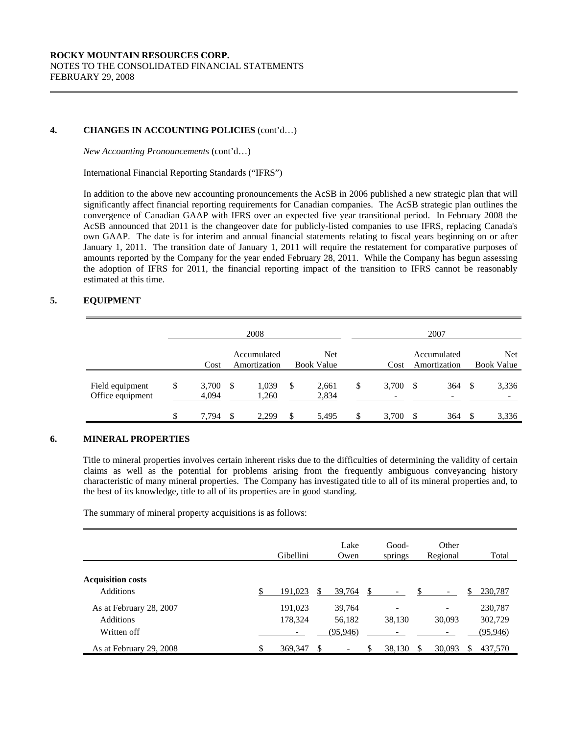## **4. CHANGES IN ACCOUNTING POLICIES** (cont'd…)

*New Accounting Pronouncements* (cont'd…)

International Financial Reporting Standards ("IFRS")

In addition to the above new accounting pronouncements the AcSB in 2006 published a new strategic plan that will significantly affect financial reporting requirements for Canadian companies. The AcSB strategic plan outlines the convergence of Canadian GAAP with IFRS over an expected five year transitional period. In February 2008 the AcSB announced that 2011 is the changeover date for publicly-listed companies to use IFRS, replacing Canada's own GAAP. The date is for interim and annual financial statements relating to fiscal years beginning on or after January 1, 2011. The transition date of January 1, 2011 will require the restatement for comparative purposes of amounts reported by the Company for the year ended February 28, 2011. While the Company has begun assessing the adoption of IFRS for 2011, the financial reporting impact of the transition to IFRS cannot be reasonably estimated at this time.

## **5. EQUIPMENT**

|                                     | 2008 |                     |      |                             |               |                                 |     |       | 2007 |                             |      |                                 |
|-------------------------------------|------|---------------------|------|-----------------------------|---------------|---------------------------------|-----|-------|------|-----------------------------|------|---------------------------------|
|                                     |      | Cost                |      | Accumulated<br>Amortization |               | <b>Net</b><br><b>Book Value</b> |     | Cost  |      | Accumulated<br>Amortization |      | <b>Net</b><br><b>Book Value</b> |
| Field equipment<br>Office equipment | S    | $3,700$ \$<br>4,094 |      | 1,039<br>1,260              | <sup>\$</sup> | 2,661<br>2,834                  | \$  | 3,700 | S    | 364                         | S    | 3,336                           |
|                                     | S    | 7.794               | - \$ | 2.299                       | -S            | 5,495                           | \$. | 3,700 | -S   | 364                         | - \$ | 3,336                           |

#### **6. MINERAL PROPERTIES**

 Title to mineral properties involves certain inherent risks due to the difficulties of determining the validity of certain claims as well as the potential for problems arising from the frequently ambiguous conveyancing history characteristic of many mineral properties. The Company has investigated title to all of its mineral properties and, to the best of its knowledge, title to all of its properties are in good standing.

The summary of mineral property acquisitions is as follows:

|                          | Gibellini     |               | Lake<br>Owen |    | Good-<br>springs         | Other<br>Regional        | Total         |
|--------------------------|---------------|---------------|--------------|----|--------------------------|--------------------------|---------------|
|                          |               |               |              |    |                          |                          |               |
| <b>Acquisition costs</b> |               |               |              |    |                          |                          |               |
| <b>Additions</b>         | 191,023       |               | 39,764       | S. |                          |                          | \$<br>230,787 |
| As at February 28, 2007  | 191,023       |               | 39,764       |    | $\overline{\phantom{0}}$ | $\overline{\phantom{a}}$ | 230,787       |
| <b>Additions</b>         | 178,324       |               | 56,182       |    | 38,130                   | 30.093                   | 302,729       |
| Written off              |               |               | (95, 946)    |    |                          |                          | (95, 946)     |
| As at February 29, 2008  | \$<br>369,347 | <sup>\$</sup> |              | S  | 38,130                   | 30,093                   | \$<br>437,570 |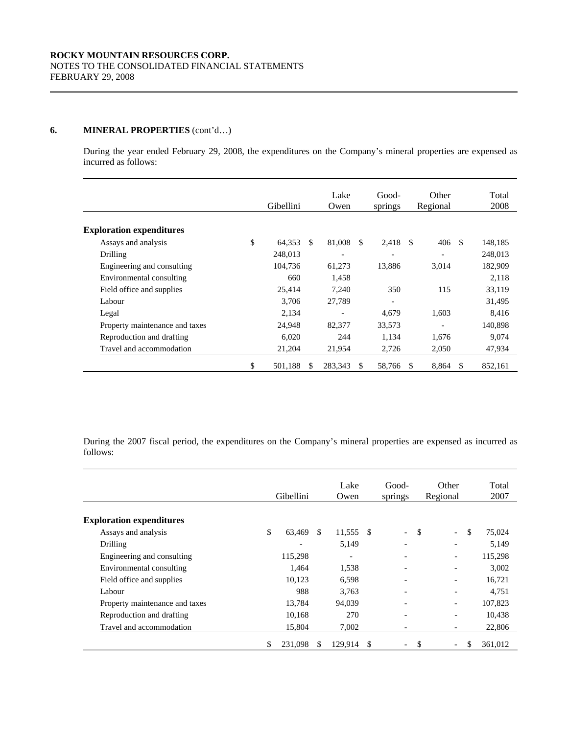During the year ended February 29, 2008, the expenditures on the Company's mineral properties are expensed as incurred as follows:

|                                 |    | Gibellini |    | Lake<br>Owen |               | Good-<br>springs         |     | Other<br>Regional        |     | Total<br>2008 |
|---------------------------------|----|-----------|----|--------------|---------------|--------------------------|-----|--------------------------|-----|---------------|
| <b>Exploration expenditures</b> |    |           |    |              |               |                          |     |                          |     |               |
| Assays and analysis             | \$ | 64,353    | -S | 81,008       | -S            | 2,418                    | -\$ | 406                      | -\$ | 148,185       |
| Drilling                        |    | 248,013   |    | -            |               | $\overline{\phantom{0}}$ |     | $\overline{\phantom{a}}$ |     | 248,013       |
| Engineering and consulting      |    | 104.736   |    | 61,273       |               | 13,886                   |     | 3,014                    |     | 182,909       |
| Environmental consulting        |    | 660       |    | 1,458        |               |                          |     |                          |     | 2,118         |
| Field office and supplies       |    | 25,414    |    | 7.240        |               | 350                      |     | 115                      |     | 33,119        |
| Labour                          |    | 3,706     |    | 27,789       |               |                          |     |                          |     | 31,495        |
| Legal                           |    | 2,134     |    |              |               | 4,679                    |     | 1,603                    |     | 8,416         |
| Property maintenance and taxes  |    | 24,948    |    | 82,377       |               | 33,573                   |     | $\overline{\phantom{a}}$ |     | 140,898       |
| Reproduction and drafting       |    | 6,020     |    | 244          |               | 1,134                    |     | 1,676                    |     | 9,074         |
| Travel and accommodation        |    | 21,204    |    | 21,954       |               | 2,726                    |     | 2,050                    |     | 47,934        |
|                                 | S  | 501,188   | S  | 283,343      | <sup>\$</sup> | 58,766                   | S.  | 8,864                    | -S  | 852,161       |

 During the 2007 fiscal period, the expenditures on the Company's mineral properties are expensed as incurred as follows:

|                                 | Gibellini |                          |               | Lake<br>Good-<br>Owen<br>springs |    | Other<br>Regional        |     |                          | Total<br>2007 |         |
|---------------------------------|-----------|--------------------------|---------------|----------------------------------|----|--------------------------|-----|--------------------------|---------------|---------|
| <b>Exploration expenditures</b> |           |                          |               |                                  |    |                          |     |                          |               |         |
| Assays and analysis             | \$        | 63,469                   | <sup>\$</sup> | 11,555 \$                        |    | $\overline{\phantom{0}}$ | -\$ | $\overline{\phantom{0}}$ | $\mathcal{S}$ | 75,024  |
|                                 |           |                          |               |                                  |    |                          |     |                          |               |         |
| Drilling                        |           | $\overline{\phantom{0}}$ |               | 5,149                            |    | ۰                        |     | -                        |               | 5,149   |
| Engineering and consulting      |           | 115,298                  |               | $\overline{a}$                   |    | $\overline{\phantom{a}}$ |     | -                        |               | 115,298 |
| Environmental consulting        |           | 1,464                    |               | 1,538                            |    | $\overline{\phantom{a}}$ |     | -                        |               | 3,002   |
| Field office and supplies       |           | 10.123                   |               | 6,598                            |    | $\overline{\phantom{a}}$ |     | -                        |               | 16,721  |
| Labour                          |           | 988                      |               | 3.763                            |    | $\overline{\phantom{0}}$ |     | $\overline{\phantom{a}}$ |               | 4,751   |
| Property maintenance and taxes  |           | 13,784                   |               | 94,039                           |    | $\overline{\phantom{a}}$ |     | -                        |               | 107,823 |
| Reproduction and drafting       |           | 10.168                   |               | 270                              |    | $\overline{\phantom{a}}$ |     | -                        |               | 10,438  |
| Travel and accommodation        |           | 15,804                   |               | 7,002                            |    | $\overline{\phantom{a}}$ |     | $\overline{\phantom{a}}$ |               | 22,806  |
|                                 | \$        | 231.098                  |               | 129,914                          | \$ | $\overline{\phantom{a}}$ | \$  |                          | \$            | 361,012 |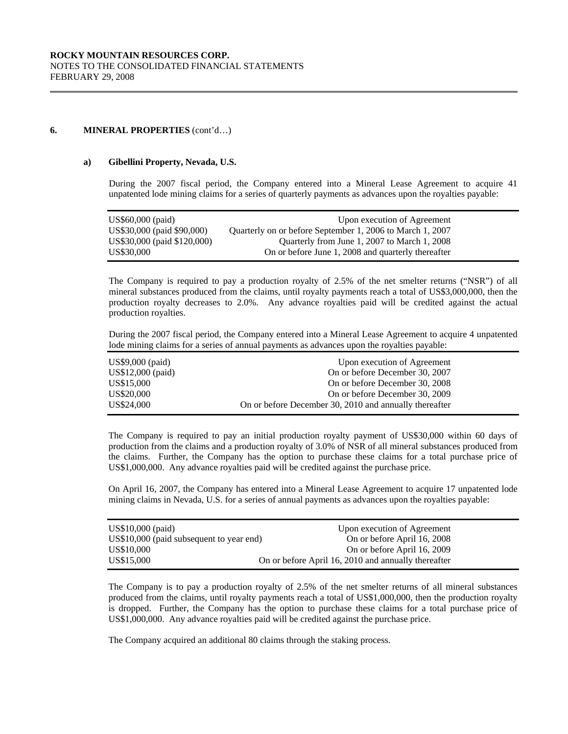#### **a) Gibellini Property, Nevada, U.S.**

During the 2007 fiscal period, the Company entered into a Mineral Lease Agreement to acquire 41 unpatented lode mining claims for a series of quarterly payments as advances upon the royalties payable:

| US\$60,000 (paid)                                         | Upon execution of Agreement                                                                               |
|-----------------------------------------------------------|-----------------------------------------------------------------------------------------------------------|
| US\$30,000 (paid \$90,000)<br>US\$30,000 (paid \$120,000) | Quarterly on or before September 1, 2006 to March 1, 2007<br>Ouarterly from June 1, 2007 to March 1, 2008 |
| US\$30,000                                                | On or before June 1, 2008 and quarterly thereafter                                                        |

The Company is required to pay a production royalty of 2.5% of the net smelter returns ("NSR") of all mineral substances produced from the claims, until royalty payments reach a total of US\$3,000,000, then the production royalty decreases to 2.0%. Any advance royalties paid will be credited against the actual production royalties.

During the 2007 fiscal period, the Company entered into a Mineral Lease Agreement to acquire 4 unpatented lode mining claims for a series of annual payments as advances upon the royalties payable:

| US\$9,000 (paid)  | Upon execution of Agreement                            |
|-------------------|--------------------------------------------------------|
| US\$12,000 (paid) | On or before December 30, 2007                         |
| US\$15,000        | On or before December 30, 2008                         |
| US\$20,000        | On or before December 30, 2009                         |
| US\$24,000        | On or before December 30, 2010 and annually thereafter |

The Company is required to pay an initial production royalty payment of US\$30,000 within 60 days of production from the claims and a production royalty of 3.0% of NSR of all mineral substances produced from the claims. Further, the Company has the option to purchase these claims for a total purchase price of US\$1,000,000. Any advance royalties paid will be credited against the purchase price.

On April 16, 2007, the Company has entered into a Mineral Lease Agreement to acquire 17 unpatented lode mining claims in Nevada, U.S. for a series of annual payments as advances upon the royalties payable:

| $US$10,000$ (paid)                       | Upon execution of Agreement                         |  |
|------------------------------------------|-----------------------------------------------------|--|
| US\$10,000 (paid subsequent to year end) | On or before April 16, 2008                         |  |
| US\$10,000                               | On or before April 16, 2009                         |  |
| US\$15,000                               | On or before April 16, 2010 and annually thereafter |  |

The Company is to pay a production royalty of 2.5% of the net smelter returns of all mineral substances produced from the claims, until royalty payments reach a total of US\$1,000,000, then the production royalty is dropped. Further, the Company has the option to purchase these claims for a total purchase price of US\$1,000,000. Any advance royalties paid will be credited against the purchase price.

The Company acquired an additional 80 claims through the staking process.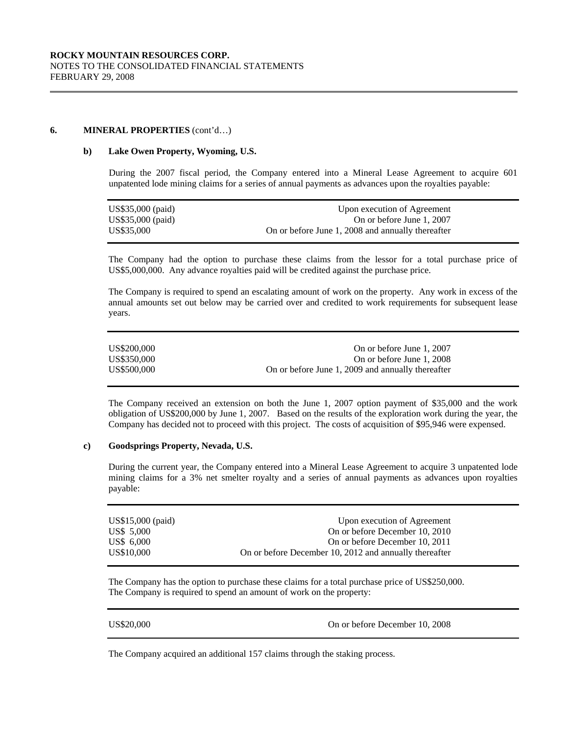#### **b) Lake Owen Property, Wyoming, U.S.**

During the 2007 fiscal period, the Company entered into a Mineral Lease Agreement to acquire 601 unpatented lode mining claims for a series of annual payments as advances upon the royalties payable:

| US\$35,000 (paid) | Upon execution of Agreement                       |
|-------------------|---------------------------------------------------|
| US\$35,000 (paid) | On or before June 1, 2007                         |
| US\$35,000        | On or before June 1, 2008 and annually thereafter |

The Company had the option to purchase these claims from the lessor for a total purchase price of US\$5,000,000. Any advance royalties paid will be credited against the purchase price.

The Company is required to spend an escalating amount of work on the property. Any work in excess of the annual amounts set out below may be carried over and credited to work requirements for subsequent lease years.

| US\$200,000 | On or before June 1, 2007                         |
|-------------|---------------------------------------------------|
| US\$350,000 | On or before June 1, 2008                         |
| US\$500,000 | On or before June 1, 2009 and annually thereafter |

The Company received an extension on both the June 1, 2007 option payment of \$35,000 and the work obligation of US\$200,000 by June 1, 2007. Based on the results of the exploration work during the year, the Company has decided not to proceed with this project. The costs of acquisition of \$95,946 were expensed.

#### **c) Goodsprings Property, Nevada, U.S.**

During the current year, the Company entered into a Mineral Lease Agreement to acquire 3 unpatented lode mining claims for a 3% net smelter royalty and a series of annual payments as advances upon royalties payable:

| US\$15,000 (paid) | Upon execution of Agreement                            |
|-------------------|--------------------------------------------------------|
| US\$ 5,000        | On or before December 10, 2010                         |
| US\$ 6,000        | On or before December 10, 2011                         |
| US\$10,000        | On or before December 10, 2012 and annually thereafter |

The Company has the option to purchase these claims for a total purchase price of US\$250,000. The Company is required to spend an amount of work on the property:

US\$20,000 On or before December 10, 2008

The Company acquired an additional 157 claims through the staking process.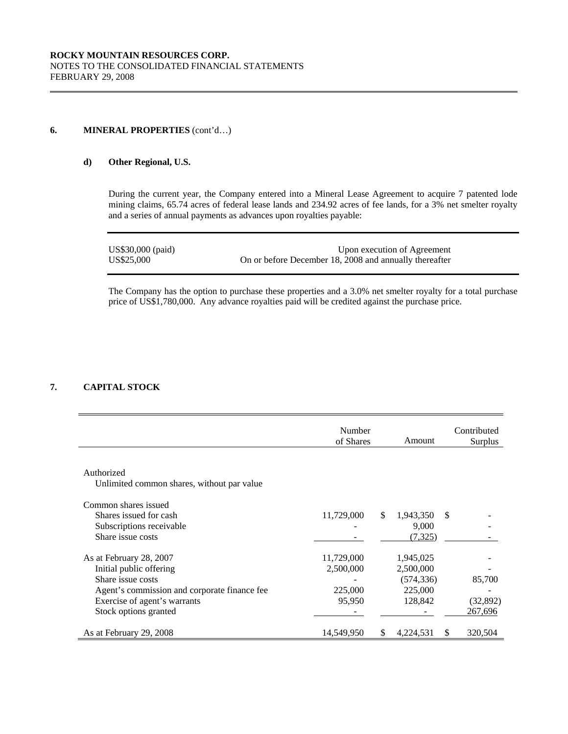$\overline{a}$ 

## **d) Other Regional, U.S.**

During the current year, the Company entered into a Mineral Lease Agreement to acquire 7 patented lode mining claims, 65.74 acres of federal lease lands and 234.92 acres of fee lands, for a 3% net smelter royalty and a series of annual payments as advances upon royalties payable:

| US\$30,000 (paid) | Upon execution of Agreement                            |
|-------------------|--------------------------------------------------------|
| US\$25,000        | On or before December 18, 2008 and annually thereafter |

The Company has the option to purchase these properties and a 3.0% net smelter royalty for a total purchase price of US\$1,780,000. Any advance royalties paid will be credited against the purchase price.

## **7. CAPITAL STOCK**

|                                                                                                                                                                                  | Number<br>of Shares                          |    | Amount                                                     |              | Contributed<br>Surplus        |
|----------------------------------------------------------------------------------------------------------------------------------------------------------------------------------|----------------------------------------------|----|------------------------------------------------------------|--------------|-------------------------------|
| Authorized<br>Unlimited common shares, without par value                                                                                                                         |                                              |    |                                                            |              |                               |
| Common shares issued<br>Shares issued for cash<br>Subscriptions receivable<br>Share issue costs                                                                                  | 11,729,000                                   | S. | 1,943,350<br>9,000<br>(7, 325)                             | <sup>S</sup> |                               |
| As at February 28, 2007<br>Initial public offering<br>Share issue costs<br>Agent's commission and corporate finance fee<br>Exercise of agent's warrants<br>Stock options granted | 11,729,000<br>2,500,000<br>225,000<br>95,950 |    | 1,945,025<br>2,500,000<br>(574, 336)<br>225,000<br>128,842 |              | 85,700<br>(32,892)<br>267,696 |
| As at February 29, 2008                                                                                                                                                          | 14,549,950                                   | S  | 4,224,531                                                  |              | 320,504                       |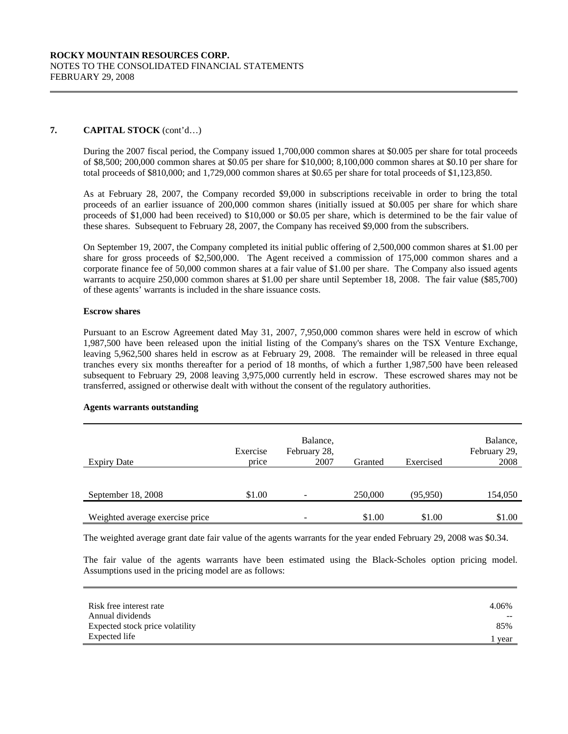## **ROCKY MOUNTAIN RESOURCES CORP.**  NOTES TO THE CONSOLIDATED FINANCIAL STATEMENTS FEBRUARY 29, 2008

## **7. CAPITAL STOCK** (cont'd…)

 $\overline{a}$ 

During the 2007 fiscal period, the Company issued 1,700,000 common shares at \$0.005 per share for total proceeds of \$8,500; 200,000 common shares at \$0.05 per share for \$10,000; 8,100,000 common shares at \$0.10 per share for total proceeds of \$810,000; and 1,729,000 common shares at \$0.65 per share for total proceeds of \$1,123,850.

As at February 28, 2007, the Company recorded \$9,000 in subscriptions receivable in order to bring the total proceeds of an earlier issuance of 200,000 common shares (initially issued at \$0.005 per share for which share proceeds of \$1,000 had been received) to \$10,000 or \$0.05 per share, which is determined to be the fair value of these shares. Subsequent to February 28, 2007, the Company has received \$9,000 from the subscribers.

On September 19, 2007, the Company completed its initial public offering of 2,500,000 common shares at \$1.00 per share for gross proceeds of \$2,500,000. The Agent received a commission of 175,000 common shares and a corporate finance fee of 50,000 common shares at a fair value of \$1.00 per share. The Company also issued agents warrants to acquire 250,000 common shares at \$1.00 per share until September 18, 2008. The fair value (\$85,700) of these agents' warrants is included in the share issuance costs.

### **Escrow shares**

Pursuant to an Escrow Agreement dated May 31, 2007, 7,950,000 common shares were held in escrow of which 1,987,500 have been released upon the initial listing of the Company's shares on the TSX Venture Exchange, leaving 5,962,500 shares held in escrow as at February 29, 2008. The remainder will be released in three equal tranches every six months thereafter for a period of 18 months, of which a further 1,987,500 have been released subsequent to February 29, 2008 leaving 3,975,000 currently held in escrow. These escrowed shares may not be transferred, assigned or otherwise dealt with without the consent of the regulatory authorities.

### **Agents warrants outstanding**

| <b>Expiry Date</b>              | Exercise<br>price | Balance,<br>February 28,<br>2007 | Granted | Exercised | Balance,<br>February 29,<br>2008 |
|---------------------------------|-------------------|----------------------------------|---------|-----------|----------------------------------|
| September 18, 2008              | \$1.00            |                                  | 250,000 | (95,950)  | 154,050                          |
| Weighted average exercise price |                   |                                  | \$1.00  | \$1.00    | \$1.00                           |

The weighted average grant date fair value of the agents warrants for the year ended February 29, 2008 was \$0.34.

The fair value of the agents warrants have been estimated using the Black-Scholes option pricing model. Assumptions used in the pricing model are as follows:

| Risk free interest rate         | 4.06% |
|---------------------------------|-------|
| Annual dividends                | $- -$ |
| Expected stock price volatility | 85%   |
| Expected life                   | vear  |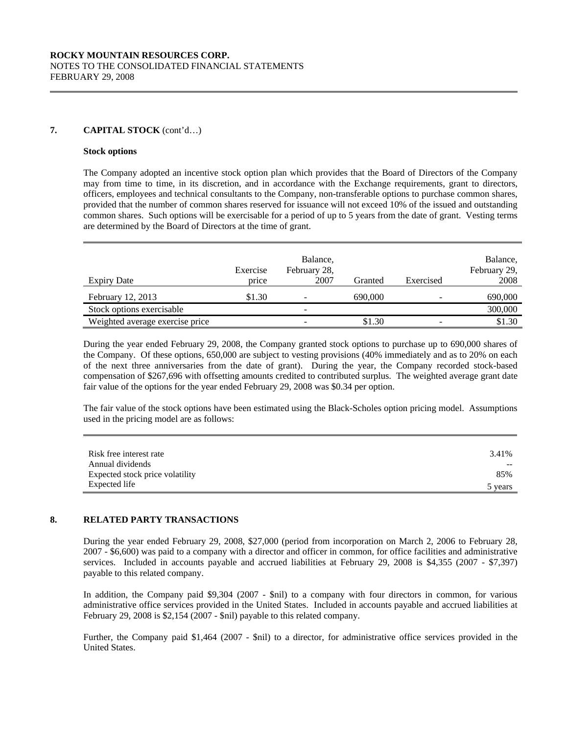## **7. CAPITAL STOCK** (cont'd…)

#### **Stock options**

 $\overline{a}$ 

 The Company adopted an incentive stock option plan which provides that the Board of Directors of the Company may from time to time, in its discretion, and in accordance with the Exchange requirements, grant to directors, officers, employees and technical consultants to the Company, non-transferable options to purchase common shares, provided that the number of common shares reserved for issuance will not exceed 10% of the issued and outstanding common shares. Such options will be exercisable for a period of up to 5 years from the date of grant. Vesting terms are determined by the Board of Directors at the time of grant.

| <b>Expiry Date</b>              | Exercise<br>price | Balance,<br>February 28,<br>2007 | Granted | Exercised | Balance,<br>February 29,<br>2008 |
|---------------------------------|-------------------|----------------------------------|---------|-----------|----------------------------------|
| February 12, 2013               | \$1.30            |                                  | 690,000 |           | 690,000                          |
| Stock options exercisable       |                   |                                  |         |           | 300,000                          |
| Weighted average exercise price |                   |                                  | \$1.30  |           | \$1.30                           |

During the year ended February 29, 2008, the Company granted stock options to purchase up to 690,000 shares of the Company. Of these options, 650,000 are subject to vesting provisions (40% immediately and as to 20% on each of the next three anniversaries from the date of grant). During the year, the Company recorded stock-based compensation of \$267,696 with offsetting amounts credited to contributed surplus. The weighted average grant date fair value of the options for the year ended February 29, 2008 was \$0.34 per option.

The fair value of the stock options have been estimated using the Black-Scholes option pricing model. Assumptions used in the pricing model are as follows:

| Risk free interest rate         | 3.41%   |
|---------------------------------|---------|
| Annual dividends                | $- -$   |
| Expected stock price volatility | 85%     |
| Expected life                   | 5 years |

### **8. RELATED PARTY TRANSACTIONS**

During the year ended February 29, 2008, \$27,000 (period from incorporation on March 2, 2006 to February 28, 2007 - \$6,600) was paid to a company with a director and officer in common, for office facilities and administrative services. Included in accounts payable and accrued liabilities at February 29, 2008 is \$4,355 (2007 - \$7,397) payable to this related company.

In addition, the Company paid \$9,304 (2007 - \$nil) to a company with four directors in common, for various administrative office services provided in the United States. Included in accounts payable and accrued liabilities at February 29, 2008 is \$2,154 (2007 - \$nil) payable to this related company.

Further, the Company paid \$1,464 (2007 - \$nil) to a director, for administrative office services provided in the United States.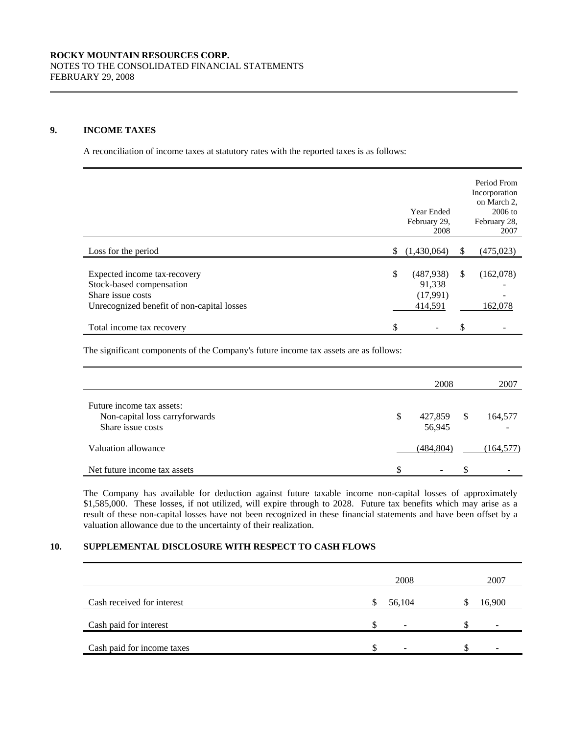#### **9. INCOME TAXES**

 $\overline{a}$ 

A reconciliation of income taxes at statutory rates with the reported taxes is as follows:

|                                                                                                                             |     | Year Ended<br>February 29,<br>2008          |               | Period From<br>Incorporation<br>on March 2,<br>$2006$ to<br>February 28,<br>2007 |
|-----------------------------------------------------------------------------------------------------------------------------|-----|---------------------------------------------|---------------|----------------------------------------------------------------------------------|
| Loss for the period                                                                                                         | \$. | (1,430,064)                                 | <sup>\$</sup> | (475, 023)                                                                       |
| Expected income tax-recovery<br>Stock-based compensation<br>Share issue costs<br>Unrecognized benefit of non-capital losses | \$  | (487, 938)<br>91,338<br>(17,991)<br>414,591 | <sup>\$</sup> | (162,078)<br>162,078                                                             |
| Total income tax recovery                                                                                                   | \$  |                                             | \$            |                                                                                  |

The significant components of the Company's future income tax assets are as follows:

|                                                                                  | 2008                    |   | 2007                                |
|----------------------------------------------------------------------------------|-------------------------|---|-------------------------------------|
| Future income tax assets:<br>Non-capital loss carryforwards<br>Share issue costs | \$<br>427,859<br>56,945 | S | 164,577<br>$\overline{\phantom{0}}$ |
| Valuation allowance                                                              | (484, 804)              |   | (164, 577)                          |
| Net future income tax assets                                                     | \$<br>-                 |   | $\overline{\phantom{0}}$            |

 The Company has available for deduction against future taxable income non-capital losses of approximately \$1,585,000. These losses, if not utilized, will expire through to 2028. Future tax benefits which may arise as a result of these non-capital losses have not been recognized in these financial statements and have been offset by a valuation allowance due to the uncertainty of their realization.

## **10. SUPPLEMENTAL DISCLOSURE WITH RESPECT TO CASH FLOWS**

|                            | 2008   | 2007   |
|----------------------------|--------|--------|
| Cash received for interest | 56,104 | 16.900 |
| Cash paid for interest     |        |        |
| Cash paid for income taxes |        | -      |